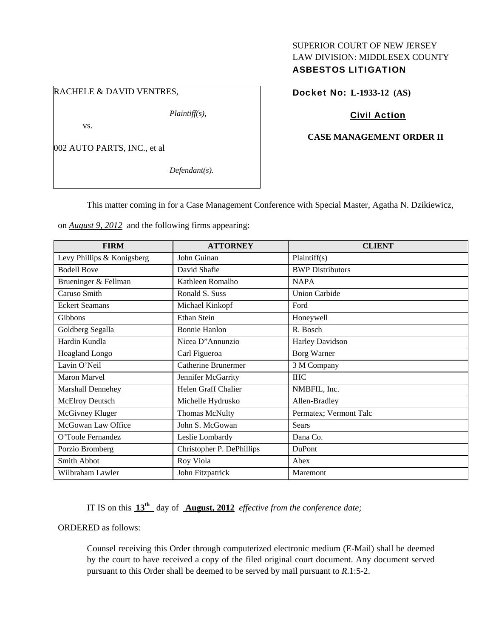# SUPERIOR COURT OF NEW JERSEY LAW DIVISION: MIDDLESEX COUNTY ASBESTOS LITIGATION

## RACHELE & DAVID VENTRES,

*Plaintiff(s),* 

vs.

002 AUTO PARTS, INC., et al

*Defendant(s).* 

# Docket No: **L-1933-12 (AS)**

# Civil Action

### **CASE MANAGEMENT ORDER II**

This matter coming in for a Case Management Conference with Special Master, Agatha N. Dzikiewicz,

on *August 9, 2012* and the following firms appearing:

| <b>FIRM</b>                | <b>ATTORNEY</b>            | <b>CLIENT</b>           |
|----------------------------|----------------------------|-------------------------|
| Levy Phillips & Konigsberg | John Guinan                | Plaintiff(s)            |
| <b>Bodell Bove</b>         | David Shafie               | <b>BWP</b> Distributors |
| Brueninger & Fellman       | Kathleen Romalho           | <b>NAPA</b>             |
| Caruso Smith               | Ronald S. Suss             | <b>Union Carbide</b>    |
| <b>Eckert Seamans</b>      | Michael Kinkopf            | Ford                    |
| Gibbons                    | Ethan Stein                | Honeywell               |
| Goldberg Segalla           | <b>Bonnie Hanlon</b>       | R. Bosch                |
| Hardin Kundla              | Nicea D"Annunzio           | <b>Harley Davidson</b>  |
| Hoagland Longo             | Carl Figueroa              | Borg Warner             |
| Lavin O'Neil               | <b>Catherine Brunermer</b> | 3 M Company             |
| Maron Marvel               | Jennifer McGarrity         | <b>IHC</b>              |
| Marshall Dennehey          | Helen Graff Chalier        | NMBFIL, Inc.            |
| McElroy Deutsch            | Michelle Hydrusko          | Allen-Bradley           |
| McGivney Kluger            | Thomas McNulty             | Permatex; Vermont Talc  |
| McGowan Law Office         | John S. McGowan            | <b>Sears</b>            |
| O'Toole Fernandez          | Leslie Lombardy            | Dana Co.                |
| Porzio Bromberg            | Christopher P. DePhillips  | DuPont                  |
| Smith Abbot                | Roy Viola                  | Abex                    |
| Wilbraham Lawler           | John Fitzpatrick           | Maremont                |

IT IS on this **13th** day of **August, 2012** *effective from the conference date;*

ORDERED as follows:

Counsel receiving this Order through computerized electronic medium (E-Mail) shall be deemed by the court to have received a copy of the filed original court document. Any document served pursuant to this Order shall be deemed to be served by mail pursuant to *R*.1:5-2.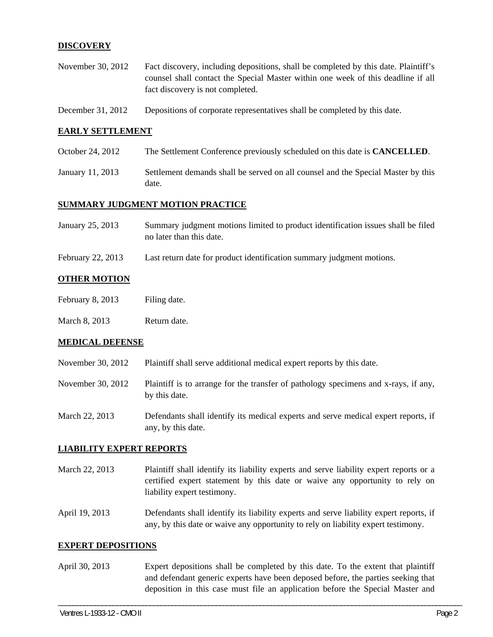### **DISCOVERY**

- November 30, 2012 Fact discovery, including depositions, shall be completed by this date. Plaintiff's counsel shall contact the Special Master within one week of this deadline if all fact discovery is not completed.
- December 31, 2012 Depositions of corporate representatives shall be completed by this date.

#### **EARLY SETTLEMENT**

- October 24, 2012 The Settlement Conference previously scheduled on this date is **CANCELLED**.
- January 11, 2013 Settlement demands shall be served on all counsel and the Special Master by this date.

#### **SUMMARY JUDGMENT MOTION PRACTICE**

| January 25, 2013 | Summary judgment motions limited to product identification issues shall be filed |
|------------------|----------------------------------------------------------------------------------|
|                  | no later than this date.                                                         |

February 22, 2013 Last return date for product identification summary judgment motions.

### **OTHER MOTION**

- February 8, 2013 Filing date.
- March 8, 2013 Return date.

#### **MEDICAL DEFENSE**

- November 30, 2012 Plaintiff shall serve additional medical expert reports by this date.
- November 30, 2012 Plaintiff is to arrange for the transfer of pathology specimens and x-rays, if any, by this date.
- March 22, 2013 Defendants shall identify its medical experts and serve medical expert reports, if any, by this date.

### **LIABILITY EXPERT REPORTS**

March 22, 2013 Plaintiff shall identify its liability experts and serve liability expert reports or a certified expert statement by this date or waive any opportunity to rely on liability expert testimony.

April 19, 2013 Defendants shall identify its liability experts and serve liability expert reports, if any, by this date or waive any opportunity to rely on liability expert testimony.

#### **EXPERT DEPOSITIONS**

April 30, 2013 Expert depositions shall be completed by this date. To the extent that plaintiff and defendant generic experts have been deposed before, the parties seeking that deposition in this case must file an application before the Special Master and

\_\_\_\_\_\_\_\_\_\_\_\_\_\_\_\_\_\_\_\_\_\_\_\_\_\_\_\_\_\_\_\_\_\_\_\_\_\_\_\_\_\_\_\_\_\_\_\_\_\_\_\_\_\_\_\_\_\_\_\_\_\_\_\_\_\_\_\_\_\_\_\_\_\_\_\_\_\_\_\_\_\_\_\_\_\_\_\_\_\_\_\_\_\_\_\_\_\_\_\_\_\_\_\_\_\_\_\_\_\_